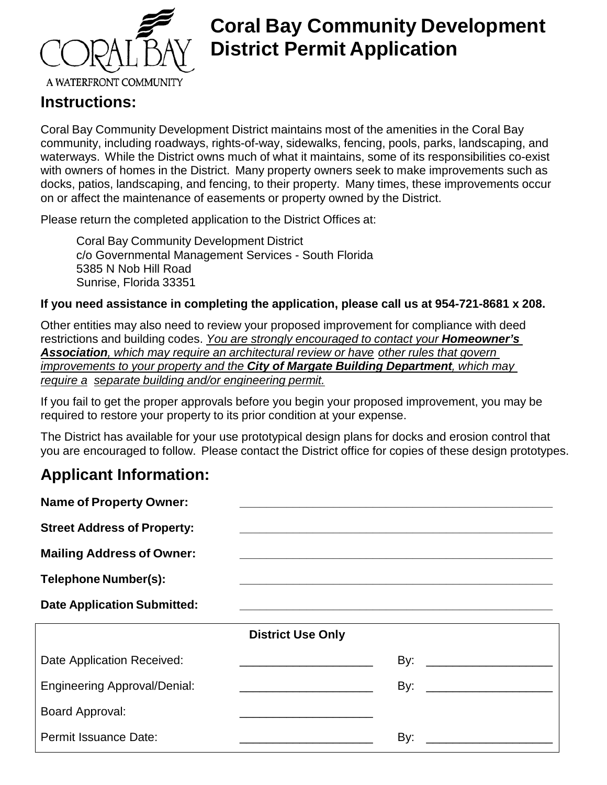

### **Coral Bay Community Development District Permit Application**

### **Instructions:**

Coral Bay Community Development District maintains most of the amenities in the Coral Bay community, including roadways, rights-of-way, sidewalks, fencing, pools, parks, landscaping, and waterways. While the District owns much of what it maintains, some of its responsibilities co-exist with owners of homes in the District. Many property owners seek to make improvements such as docks, patios, landscaping, and fencing, to their property. Many times, these improvements occur on or affect the maintenance of easements or property owned by the District.

Please return the completed application to the District Offices at:

Coral Bay Community Development District c/o Governmental Management Services - South Florida 5385 N Nob Hill Road Sunrise, Florida 33351

#### **If you need assistance in completing the application, please call us at 954-721-8681 x 208.**

Other entities may also need to review your proposed improvement for compliance with deed restrictions and building codes. *You are strongly encouraged to contact your Homeowner's Association, which may require an architectural review or have other rules that govern improvements to your property and the City of Margate Building Department, which may require a separate building and/or engineering permit.*

If you fail to get the proper approvals before you begin your proposed improvement, you may be required to restore your property to its prior condition at your expense.

The District has available for your use prototypical design plans for docks and erosion control that you are encouraged to follow. Please contact the District office for copies of these design prototypes.

### **Applicant Information:**

| <b>Name of Property Owner:</b>      |                                                                  |
|-------------------------------------|------------------------------------------------------------------|
| <b>Street Address of Property:</b>  |                                                                  |
| <b>Mailing Address of Owner:</b>    |                                                                  |
| <b>Telephone Number(s):</b>         |                                                                  |
| <b>Date Application Submitted:</b>  |                                                                  |
|                                     | <b>District Use Only</b>                                         |
| Date Application Received:          |                                                                  |
| <b>Engineering Approval/Denial:</b> | By:<br><u> 1989 - Johann John Stone, mensk politik (d. 1989)</u> |
| Board Approval:                     |                                                                  |
|                                     |                                                                  |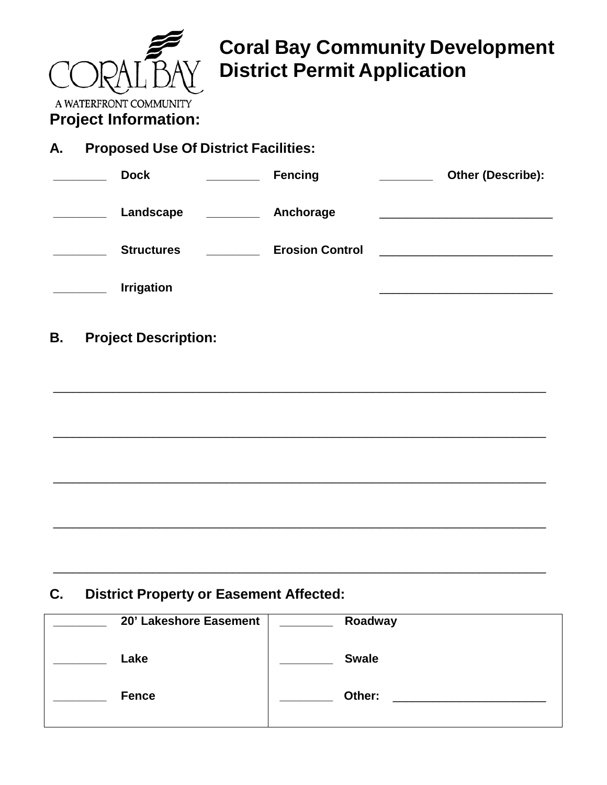

# **Coral Bay Community Development District Permit Application**

**Project Information:**

| А. | <b>Proposed Use Of District Facilities:</b> |                                   |                                                                                                                          |
|----|---------------------------------------------|-----------------------------------|--------------------------------------------------------------------------------------------------------------------------|
|    | <b>Dock</b>                                 | <b>Fencing</b>                    | Other (Describe):                                                                                                        |
|    | Landscape                                   | <b>EXAMPLE PROPERTY</b> Anchorage |                                                                                                                          |
|    | <b>Structures</b>                           | <b>Erosion Control</b>            | <u> 1980 - Johann Stein, martin film fan it fjort fan it fjort fan it fjort fan it fjort fan it fjort fan it fjort f</u> |
|    | <b>Irrigation</b>                           |                                   |                                                                                                                          |
| В. | <b>Project Description:</b>                 |                                   |                                                                                                                          |
|    |                                             |                                   |                                                                                                                          |
|    |                                             |                                   |                                                                                                                          |
|    |                                             |                                   |                                                                                                                          |
|    |                                             |                                   |                                                                                                                          |

**C. District Property or Easement Affected:**

| 20' Lakeshore Easement | Roadway                                 |
|------------------------|-----------------------------------------|
| Lake                   | <b>Swale</b>                            |
| <b>Fence</b>           | Other:<br><u> 1980 - Jan Sterlinger</u> |
|                        |                                         |

\_\_\_\_\_\_\_\_\_\_\_\_\_\_\_\_\_\_\_\_\_\_\_\_\_\_\_\_\_\_\_\_\_\_\_\_\_\_\_\_\_\_\_\_\_\_\_\_\_\_\_\_\_\_\_\_\_\_\_\_\_\_\_\_\_\_\_\_\_\_\_\_\_\_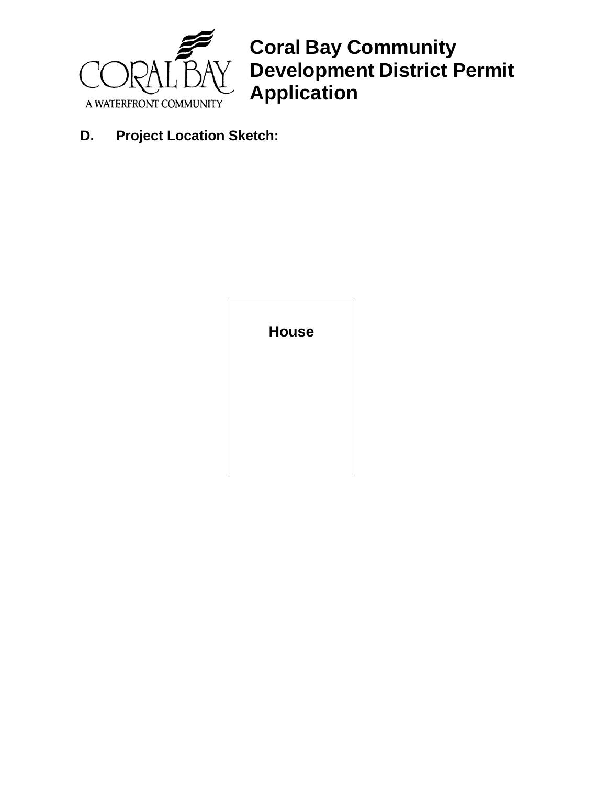

**Coral Bay Community Development District Permit Application**

**D. Project Location Sketch:**